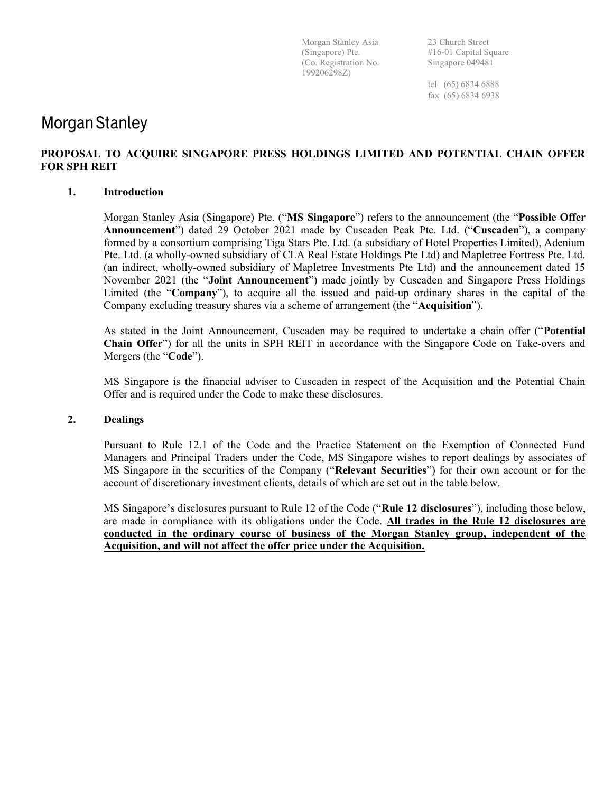Morgan Stanley Asia 23 Church Street (Co. Registration No. Singapore 049481 199206298Z)

(Singapore) Pte. #16-01 Capital Square

 tel (65) 6834 6888 fax (65) 6834 6938

## **Morgan Stanley**

### PROPOSAL TO ACQUIRE SINGAPORE PRESS HOLDINGS LIMITED AND POTENTIAL CHAIN OFFER FOR SPH REIT

#### 1. Introduction

Morgan Stanley Asia (Singapore) Pte. ("MS Singapore") refers to the announcement (the "Possible Offer Announcement") dated 29 October 2021 made by Cuscaden Peak Pte. Ltd. ("Cuscaden"), a company formed by a consortium comprising Tiga Stars Pte. Ltd. (a subsidiary of Hotel Properties Limited), Adenium Pte. Ltd. (a wholly-owned subsidiary of CLA Real Estate Holdings Pte Ltd) and Mapletree Fortress Pte. Ltd. (an indirect, wholly-owned subsidiary of Mapletree Investments Pte Ltd) and the announcement dated 15 November 2021 (the "Joint Announcement") made jointly by Cuscaden and Singapore Press Holdings Limited (the "Company"), to acquire all the issued and paid-up ordinary shares in the capital of the Company excluding treasury shares via a scheme of arrangement (the "Acquisition").

As stated in the Joint Announcement, Cuscaden may be required to undertake a chain offer ("Potential Chain Offer") for all the units in SPH REIT in accordance with the Singapore Code on Take-overs and Mergers (the "Code").

MS Singapore is the financial adviser to Cuscaden in respect of the Acquisition and the Potential Chain Offer and is required under the Code to make these disclosures.

#### 2. Dealings

Pursuant to Rule 12.1 of the Code and the Practice Statement on the Exemption of Connected Fund Managers and Principal Traders under the Code, MS Singapore wishes to report dealings by associates of MS Singapore in the securities of the Company ("Relevant Securities") for their own account or for the account of discretionary investment clients, details of which are set out in the table below.

MS Singapore's disclosures pursuant to Rule 12 of the Code ("Rule 12 disclosures"), including those below, are made in compliance with its obligations under the Code. All trades in the Rule 12 disclosures are conducted in the ordinary course of business of the Morgan Stanley group, independent of the Acquisition, and will not affect the offer price under the Acquisition.